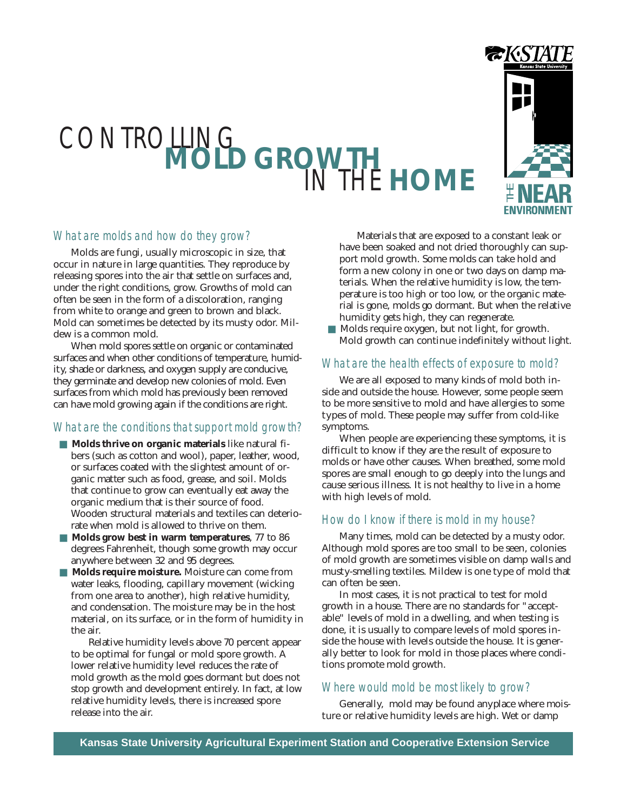# CONTROLLING **MOLD GROWTH** IN THE **HOME**



# What are molds and how do they grow?

Molds are fungi, usually microscopic in size, that occur in nature in large quantities. They reproduce by releasing spores into the air that settle on surfaces and, under the right conditions, grow. Growths of mold can often be seen in the form of a discoloration, ranging from white to orange and green to brown and black. Mold can sometimes be detected by its musty odor. Mildew is a common mold.

When mold spores settle on organic or contaminated surfaces and when other conditions of temperature, humidity, shade or darkness, and oxygen supply are conducive, they germinate and develop new colonies of mold. Even surfaces from which mold has previously been removed can have mold growing again if the conditions are right.

# What are the conditions that support mold growth?

- **Molds thrive on organic materials** like natural fibers (such as cotton and wool), paper, leather, wood, or surfaces coated with the slightest amount of organic matter such as food, grease, and soil. Molds that continue to grow can eventually eat away the organic medium that is their source of food. Wooden structural materials and textiles can deteriorate when mold is allowed to thrive on them.
- **Molds grow best in warm temperatures**, 77 to 86 degrees Fahrenheit, though some growth may occur anywhere between 32 and 95 degrees.
- **Molds require moisture.** Moisture can come from water leaks, flooding, capillary movement (wicking from one area to another), high relative humidity, and condensation. The moisture may be in the host material, on its surface, or in the form of humidity in the air.

Relative humidity levels above 70 percent appear to be optimal for fungal or mold spore growth. A lower relative humidity level reduces the rate of mold growth as the mold goes dormant but does not stop growth and development entirely. In fact, at low relative humidity levels, there is increased spore release into the air.

Materials that are exposed to a constant leak or have been soaked and not dried thoroughly can support mold growth. Some molds can take hold and form a new colony in one or two days on damp materials. When the relative humidity is low, the temperature is too high or too low, or the organic material is gone, molds go dormant. But when the relative humidity gets high, they can regenerate.

Molds require oxygen, but not light, for growth. Mold growth can continue indefinitely without light.

# What are the health effects of exposure to mold?

We are all exposed to many kinds of mold both inside and outside the house. However, some people seem to be more sensitive to mold and have allergies to some types of mold. These people may suffer from cold-like symptoms.

When people are experiencing these symptoms, it is difficult to know if they are the result of exposure to molds or have other causes. When breathed, some mold spores are small enough to go deeply into the lungs and cause serious illness. It is not healthy to live in a home with high levels of mold.

# How do I know if there is mold in my house?

Many times, mold can be detected by a musty odor. Although mold spores are too small to be seen, colonies of mold growth are sometimes visible on damp walls and musty-smelling textiles. Mildew is one type of mold that can often be seen.

In most cases, it is not practical to test for mold growth in a house. There are no standards for "acceptable" levels of mold in a dwelling, and when testing is done, it is usually to compare levels of mold spores inside the house with levels outside the house. It is generally better to look for mold in those places where conditions promote mold growth.

# Where would mold be most likely to grow?

Generally, mold may be found anyplace where moisture or relative humidity levels are high. Wet or damp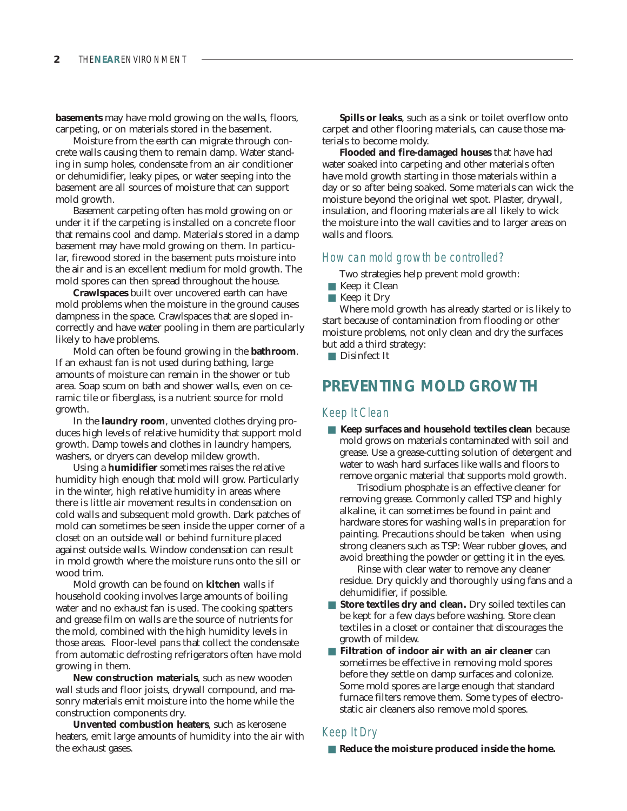**basements** may have mold growing on the walls, floors, carpeting, or on materials stored in the basement.

Moisture from the earth can migrate through concrete walls causing them to remain damp. Water standing in sump holes, condensate from an air conditioner or dehumidifier, leaky pipes, or water seeping into the basement are all sources of moisture that can support mold growth.

Basement carpeting often has mold growing on or under it if the carpeting is installed on a concrete floor that remains cool and damp. Materials stored in a damp basement may have mold growing on them. In particular, firewood stored in the basement puts moisture into the air and is an excellent medium for mold growth. The mold spores can then spread throughout the house.

**Crawlspaces** built over uncovered earth can have mold problems when the moisture in the ground causes dampness in the space. Crawlspaces that are sloped incorrectly and have water pooling in them are particularly likely to have problems.

Mold can often be found growing in the **bathroom**. If an exhaust fan is not used during bathing, large amounts of moisture can remain in the shower or tub area. Soap scum on bath and shower walls, even on ceramic tile or fiberglass, is a nutrient source for mold growth.

In the **laundry room**, unvented clothes drying produces high levels of relative humidity that support mold growth. Damp towels and clothes in laundry hampers, washers, or dryers can develop mildew growth.

Using a **humidifier** sometimes raises the relative humidity high enough that mold will grow. Particularly in the winter, high relative humidity in areas where there is little air movement results in condensation on cold walls and subsequent mold growth. Dark patches of mold can sometimes be seen inside the upper corner of a closet on an outside wall or behind furniture placed against outside walls. Window condensation can result in mold growth where the moisture runs onto the sill or wood trim.

Mold growth can be found on **kitchen** walls if household cooking involves large amounts of boiling water and no exhaust fan is used. The cooking spatters and grease film on walls are the source of nutrients for the mold, combined with the high humidity levels in those areas. Floor-level pans that collect the condensate from automatic defrosting refrigerators often have mold growing in them.

**New construction materials**, such as new wooden wall studs and floor joists, drywall compound, and masonry materials emit moisture into the home while the construction components dry.

**Unvented combustion heaters**, such as kerosene heaters, emit large amounts of humidity into the air with the exhaust gases.

**Spills or leaks**, such as a sink or toilet overflow onto carpet and other flooring materials, can cause those materials to become moldy.

**Flooded and fire-damaged houses** that have had water soaked into carpeting and other materials often have mold growth starting in those materials within a day or so after being soaked. Some materials can wick the moisture beyond the original wet spot. Plaster, drywall, insulation, and flooring materials are all likely to wick the moisture into the wall cavities and to larger areas on walls and floors.

# How can mold growth be controlled?

Two strategies help prevent mold growth:

- Keep it Clean
- Keep it Dry

Where mold growth has already started or is likely to start because of contamination from flooding or other moisture problems, not only clean and dry the surfaces but add a third strategy:

■ Disinfect It

# **PREVENTING MOLD GROWTH**

#### Keep It Clean

■ **Keep surfaces and household textiles clean** because mold grows on materials contaminated with soil and grease. Use a grease-cutting solution of detergent and water to wash hard surfaces like walls and floors to remove organic material that supports mold growth.

Trisodium phosphate is an effective cleaner for removing grease. Commonly called TSP and highly alkaline, it can sometimes be found in paint and hardware stores for washing walls in preparation for painting. Precautions should be taken when using strong cleaners such as TSP: Wear rubber gloves, and avoid breathing the powder or getting it in the eyes.

Rinse with clear water to remove any cleaner residue. Dry quickly and thoroughly using fans and a dehumidifier, if possible.

- **Store textiles dry and clean.** Dry soiled textiles can be kept for a few days before washing. Store clean textiles in a closet or container that discourages the growth of mildew.
- **Filtration of indoor air with an air cleaner** can sometimes be effective in removing mold spores before they settle on damp surfaces and colonize. Some mold spores are large enough that standard furnace filters remove them. Some types of electrostatic air cleaners also remove mold spores.

## Keep It Dry

■ **Reduce the moisture produced inside the home.**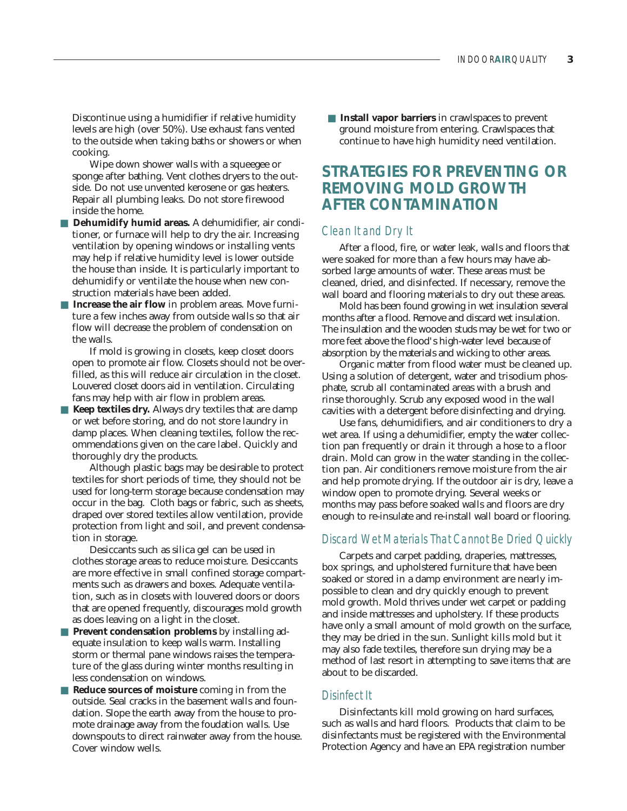Discontinue using a humidifier if relative humidity levels are high (over 50%). Use exhaust fans vented to the outside when taking baths or showers or when cooking.

Wipe down shower walls with a squeegee or sponge after bathing. Vent clothes dryers to the outside. Do not use unvented kerosene or gas heaters. Repair all plumbing leaks. Do not store firewood inside the home.

- **Dehumidify humid areas.** A dehumidifier, air conditioner, or furnace will help to dry the air. Increasing ventilation by opening windows or installing vents may help if relative humidity level is lower outside the house than inside. It is particularly important to dehumidify or ventilate the house when new construction materials have been added.
- **Increase the air flow** in problem areas. Move furniture a few inches away from outside walls so that air flow will decrease the problem of condensation on the walls.

If mold is growing in closets, keep closet doors open to promote air flow. Closets should not be overfilled, as this will reduce air circulation in the closet. Louvered closet doors aid in ventilation. Circulating fans may help with air flow in problem areas.

■ **Keep textiles dry.** Always dry textiles that are damp or wet before storing, and do not store laundry in damp places. When cleaning textiles, follow the recommendations given on the care label. Quickly and thoroughly dry the products.

Although plastic bags may be desirable to protect textiles for short periods of time, they should not be used for long-term storage because condensation may occur in the bag. Cloth bags or fabric, such as sheets, draped over stored textiles allow ventilation, provide protection from light and soil, and prevent condensation in storage.

Desiccants such as silica gel can be used in clothes storage areas to reduce moisture. Desiccants are more effective in small confined storage compartments such as drawers and boxes. Adequate ventilation, such as in closets with louvered doors or doors that are opened frequently, discourages mold growth as does leaving on a light in the closet.

- **Prevent condensation problems** by installing adequate insulation to keep walls warm. Installing storm or thermal pane windows raises the temperature of the glass during winter months resulting in less condensation on windows.
- **Reduce sources of moisture** coming in from the outside. Seal cracks in the basement walls and foundation. Slope the earth away from the house to promote drainage away from the foudation walls. Use downspouts to direct rainwater away from the house. Cover window wells.

■ **Install vapor barriers** in crawlspaces to prevent ground moisture from entering. Crawlspaces that continue to have high humidity need ventilation.

# **STRATEGIES FOR PREVENTING OR REMOVING MOLD GROWTH AFTER CONTAMINATION**

#### Clean It and Dry It

After a flood, fire, or water leak, walls and floors that were soaked for more than a few hours may have absorbed large amounts of water. These areas must be cleaned, dried, and disinfected. If necessary, remove the wall board and flooring materials to dry out these areas.

Mold has been found growing in wet insulation several months after a flood. Remove and discard wet insulation. The insulation and the wooden studs may be wet for two or more feet above the flood's high-water level because of absorption by the materials and wicking to other areas.

Organic matter from flood water must be cleaned up. Using a solution of detergent, water and trisodium phosphate, scrub all contaminated areas with a brush and rinse thoroughly. Scrub any exposed wood in the wall cavities with a detergent before disinfecting and drying.

Use fans, dehumidifiers, and air conditioners to dry a wet area. If using a dehumidifier, empty the water collection pan frequently or drain it through a hose to a floor drain. Mold can grow in the water standing in the collection pan. Air conditioners remove moisture from the air and help promote drying. If the outdoor air is dry, leave a window open to promote drying. Several weeks or months may pass before soaked walls and floors are dry enough to re-insulate and re-install wall board or flooring.

## Discard Wet Materials That Cannot Be Dried Quickly

Carpets and carpet padding, draperies, mattresses, box springs, and upholstered furniture that have been soaked or stored in a damp environment are nearly impossible to clean and dry quickly enough to prevent mold growth. Mold thrives under wet carpet or padding and inside mattresses and upholstery. If these products have only a small amount of mold growth on the surface, they may be dried in the sun. Sunlight kills mold but it may also fade textiles, therefore sun drying may be a method of last resort in attempting to save items that are about to be discarded.

# Disinfect It

Disinfectants kill mold growing on hard surfaces, such as walls and hard floors. Products that claim to be disinfectants must be registered with the Environmental Protection Agency and have an EPA registration number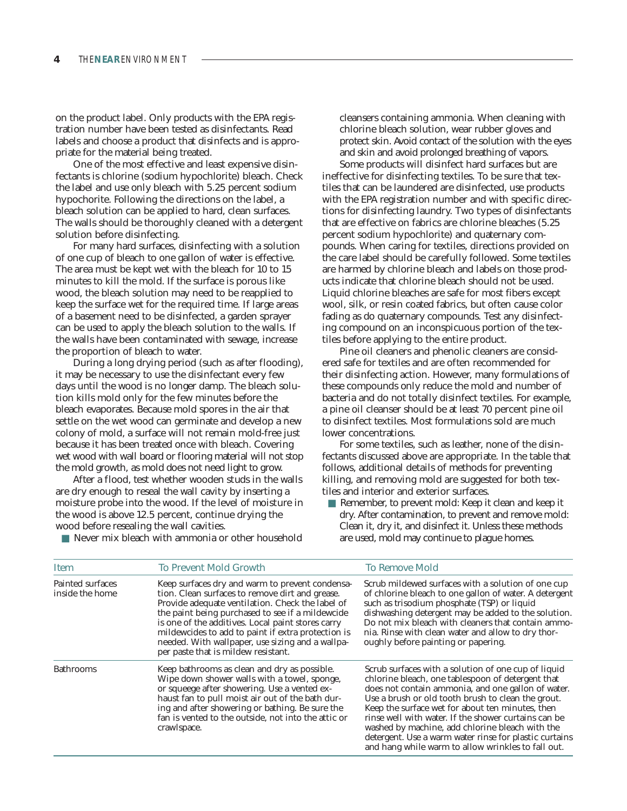on the product label. Only products with the EPA registration number have been tested as disinfectants. Read labels and choose a product that disinfects and is appropriate for the material being treated.

One of the most effective and least expensive disinfectants is chlorine (sodium hypochlorite) bleach. Check the label and use only bleach with 5.25 percent sodium hypochorite. Following the directions on the label, a bleach solution can be applied to hard, clean surfaces. The walls should be thoroughly cleaned with a detergent solution before disinfecting.

For many hard surfaces, disinfecting with a solution of one cup of bleach to one gallon of water is effective. The area must be kept wet with the bleach for 10 to 15 minutes to kill the mold. If the surface is porous like wood, the bleach solution may need to be reapplied to keep the surface wet for the required time. If large areas of a basement need to be disinfected, a garden sprayer can be used to apply the bleach solution to the walls. If the walls have been contaminated with sewage, increase the proportion of bleach to water.

During a long drying period (such as after flooding), it may be necessary to use the disinfectant every few days until the wood is no longer damp. The bleach solution kills mold only for the few minutes before the bleach evaporates. Because mold spores in the air that settle on the wet wood can germinate and develop a new colony of mold, a surface will not remain mold-free just because it has been treated once with bleach. Covering wet wood with wall board or flooring material will not stop the mold growth, as mold does not need light to grow.

After a flood, test whether wooden studs in the walls are dry enough to reseal the wall cavity by inserting a moisture probe into the wood. If the level of moisture in the wood is above 12.5 percent, continue drying the wood before resealing the wall cavities.

cleansers containing ammonia. When cleaning with chlorine bleach solution, wear rubber gloves and protect skin. Avoid contact of the solution with the eyes and skin and avoid prolonged breathing of vapors.

Some products will disinfect hard surfaces but are ineffective for disinfecting textiles. To be sure that textiles that can be laundered are disinfected, use products with the EPA registration number and with specific directions for disinfecting laundry. Two types of disinfectants that are effective on fabrics are chlorine bleaches (5.25 percent sodium hypochlorite) and quaternary compounds. When caring for textiles, directions provided on the care label should be carefully followed. Some textiles are harmed by chlorine bleach and labels on those products indicate that chlorine bleach should not be used. Liquid chlorine bleaches are safe for most fibers except wool, silk, or resin coated fabrics, but often cause color fading as do quaternary compounds. Test any disinfecting compound on an inconspicuous portion of the textiles before applying to the entire product.

Pine oil cleaners and phenolic cleaners are considered safe for textiles and are often recommended for their disinfecting action. However, many formulations of these compounds only reduce the mold and number of bacteria and do not totally disinfect textiles. For example, a pine oil cleanser should be at least 70 percent pine oil to disinfect textiles. Most formulations sold are much lower concentrations.

For some textiles, such as leather, none of the disinfectants discussed above are appropriate. In the table that follows, additional details of methods for preventing killing, and removing mold are suggested for both textiles and interior and exterior surfaces.

■ Remember, to prevent mold: Keep it clean and keep it dry. After contamination, to prevent and remove mold: Clean it, dry it, and disinfect it. Unless these methods are used, mold may continue to plague homes.

|  |  | Never mix bleach with ammonia or other household |
|--|--|--------------------------------------------------|
|  |  |                                                  |

| Item                                | <b>To Prevent Mold Growth</b>                                                                                                                                                                                                                                                                                                                                                                                    | <b>To Remove Mold</b>                                                                                                                                                                                                                                                                                                                                                                                                                                                                               |
|-------------------------------------|------------------------------------------------------------------------------------------------------------------------------------------------------------------------------------------------------------------------------------------------------------------------------------------------------------------------------------------------------------------------------------------------------------------|-----------------------------------------------------------------------------------------------------------------------------------------------------------------------------------------------------------------------------------------------------------------------------------------------------------------------------------------------------------------------------------------------------------------------------------------------------------------------------------------------------|
| Painted surfaces<br>inside the home | Keep surfaces dry and warm to prevent condensa-<br>tion. Clean surfaces to remove dirt and grease.<br>Provide adequate ventilation. Check the label of<br>the paint being purchased to see if a mildewcide<br>is one of the additives. Local paint stores carry<br>mildewcides to add to paint if extra protection is<br>needed. With wallpaper, use sizing and a wallpa-<br>per paste that is mildew resistant. | Scrub mildewed surfaces with a solution of one cup<br>of chlorine bleach to one gallon of water. A detergent<br>such as trisodium phosphate (TSP) or liquid<br>dishwashing detergent may be added to the solution.<br>Do not mix bleach with cleaners that contain ammo-<br>nia. Rinse with clean water and allow to dry thor-<br>oughly before painting or papering.                                                                                                                               |
| <b>Bathrooms</b>                    | Keep bathrooms as clean and dry as possible.<br>Wipe down shower walls with a towel, sponge,<br>or squeege after showering. Use a vented ex-<br>haust fan to pull moist air out of the bath dur-<br>ing and after showering or bathing. Be sure the<br>fan is vented to the outside, not into the attic or<br>crawlspace.                                                                                        | Scrub surfaces with a solution of one cup of liquid<br>chlorine bleach, one tablespoon of detergent that<br>does not contain ammonia, and one gallon of water.<br>Use a brush or old tooth brush to clean the grout.<br>Keep the surface wet for about ten minutes, then<br>rinse well with water. If the shower curtains can be<br>washed by machine, add chlorine bleach with the<br>detergent. Use a warm water rinse for plastic curtains<br>and hang while warm to allow wrinkles to fall out. |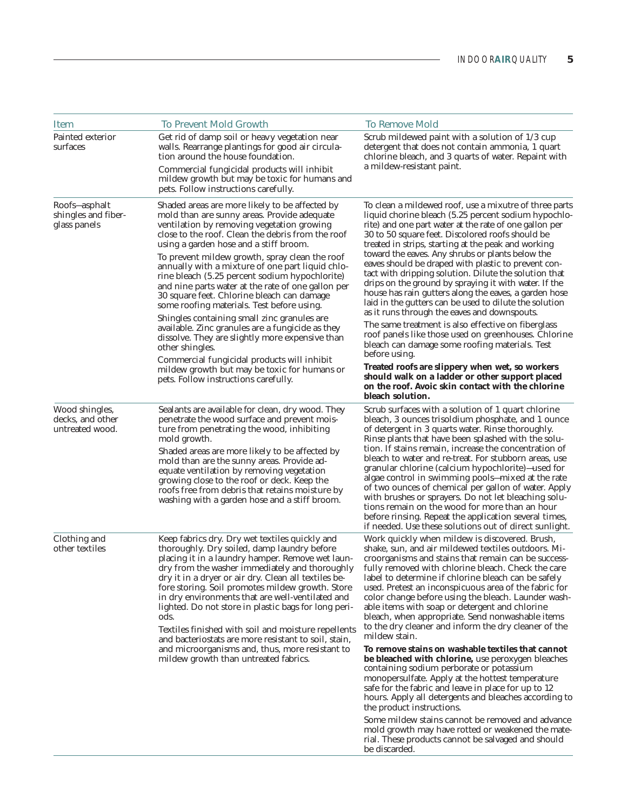| <b>Item</b>                                           | <b>To Prevent Mold Growth</b>                                                                                                                                                                                                                                                                                                                                                                                                                                                                                                                                                                                                                                                                                                                                                                                                                                        | <b>To Remove Mold</b>                                                                                                                                                                                                                                                                                                                                                                                                                                                                                                                                                                                                                                                                                                                                                                                                                                                                                                                                                                                                           |
|-------------------------------------------------------|----------------------------------------------------------------------------------------------------------------------------------------------------------------------------------------------------------------------------------------------------------------------------------------------------------------------------------------------------------------------------------------------------------------------------------------------------------------------------------------------------------------------------------------------------------------------------------------------------------------------------------------------------------------------------------------------------------------------------------------------------------------------------------------------------------------------------------------------------------------------|---------------------------------------------------------------------------------------------------------------------------------------------------------------------------------------------------------------------------------------------------------------------------------------------------------------------------------------------------------------------------------------------------------------------------------------------------------------------------------------------------------------------------------------------------------------------------------------------------------------------------------------------------------------------------------------------------------------------------------------------------------------------------------------------------------------------------------------------------------------------------------------------------------------------------------------------------------------------------------------------------------------------------------|
| Painted exterior<br>surfaces                          | Get rid of damp soil or heavy vegetation near<br>walls. Rearrange plantings for good air circula-<br>tion around the house foundation.<br>Commercial fungicidal products will inhibit<br>mildew growth but may be toxic for humans and<br>pets. Follow instructions carefully.                                                                                                                                                                                                                                                                                                                                                                                                                                                                                                                                                                                       | Scrub mildewed paint with a solution of 1/3 cup<br>detergent that does not contain ammonia, 1 quart<br>chlorine bleach, and 3 quarts of water. Repaint with<br>a mildew-resistant paint.                                                                                                                                                                                                                                                                                                                                                                                                                                                                                                                                                                                                                                                                                                                                                                                                                                        |
| Roofs-asphalt<br>shingles and fiber-<br>glass panels  | Shaded areas are more likely to be affected by<br>mold than are sunny areas. Provide adequate<br>ventilation by removing vegetation growing<br>close to the roof. Clean the debris from the roof<br>using a garden hose and a stiff broom.<br>To prevent mildew growth, spray clean the roof<br>annually with a mixture of one part liquid chlo-<br>rine bleach (5.25 percent sodium hypochlorite)<br>and nine parts water at the rate of one gallon per<br>30 square feet. Chlorine bleach can damage<br>some roofing materials. Test before using.<br>Shingles containing small zinc granules are<br>available. Zinc granules are a fungicide as they<br>dissolve. They are slightly more expensive than<br>other shingles.<br>Commercial fungicidal products will inhibit<br>mildew growth but may be toxic for humans or<br>pets. Follow instructions carefully. | To clean a mildewed roof, use a mixutre of three parts<br>liquid chorine bleach (5.25 percent sodium hypochlo-<br>rite) and one part water at the rate of one gallon per<br>30 to 50 square feet. Discolored roofs should be<br>treated in strips, starting at the peak and working<br>toward the eaves. Any shrubs or plants below the<br>eaves should be draped with plastic to prevent con-<br>tact with dripping solution. Dilute the solution that<br>drips on the ground by spraying it with water. If the<br>house has rain gutters along the eaves, a garden hose<br>laid in the gutters can be used to dilute the solution<br>as it runs through the eaves and downspouts.<br>The same treatment is also effective on fiberglass<br>roof panels like those used on greenhouses. Chlorine<br>bleach can damage some roofing materials. Test<br>before using.<br>Treated roofs are slippery when wet, so workers<br>should walk on a ladder or other support placed<br>on the roof. Avoic skin contact with the chlorine |
| Wood shingles,<br>decks, and other<br>untreated wood. | Sealants are available for clean, dry wood. They<br>penetrate the wood surface and prevent mois-<br>ture from penetrating the wood, inhibiting<br>mold growth.<br>Shaded areas are more likely to be affected by<br>mold than are the sunny areas. Provide ad-<br>equate ventilation by removing vegetation<br>growing close to the roof or deck. Keep the<br>roofs free from debris that retains moisture by<br>washing with a garden hose and a stiff broom.                                                                                                                                                                                                                                                                                                                                                                                                       | bleach solution.<br>Scrub surfaces with a solution of 1 quart chlorine<br>bleach, 3 ounces trisoldium phosphate, and 1 ounce<br>of detergent in 3 quarts water. Rinse thoroughly.<br>Rinse plants that have been splashed with the solu-<br>tion. If stains remain, increase the concentration of<br>bleach to water and re-treat. For stubborn areas, use<br>granular chlorine (calcium hypochlorite)—used for<br>algae control in swimming pools–mixed at the rate<br>of two ounces of chemical per gallon of water. Apply<br>with brushes or sprayers. Do not let bleaching solu-<br>tions remain on the wood for more than an hour<br>before rinsing. Repeat the application several times,<br>if needed. Use these solutions out of direct sunlight.                                                                                                                                                                                                                                                                       |
| Clothing and<br>other textiles                        | Keep fabrics dry. Dry wet textiles quickly and<br>thoroughly. Dry soiled, damp laundry before<br>placing it in a laundry hamper. Remove wet laun-<br>dry from the washer immediately and thoroughly<br>dry it in a dryer or air dry. Clean all textiles be-<br>fore storing. Soil promotes mildew growth. Store<br>in dry environments that are well-ventilated and<br>lighted. Do not store in plastic bags for long peri-<br>ods.<br>Textiles finished with soil and moisture repellents<br>and bacteriostats are more resistant to soil, stain,<br>and microorganisms and, thus, more resistant to<br>mildew growth than untreated fabrics.                                                                                                                                                                                                                       | Work quickly when mildew is discovered. Brush,<br>shake, sun, and air mildewed textiles outdoors. Mi-<br>croorganisms and stains that remain can be success-<br>fully removed with chlorine bleach. Check the care<br>label to determine if chlorine bleach can be safely<br>used. Pretest an inconspicuous area of the fabric for<br>color change before using the bleach. Launder wash-<br>able items with soap or detergent and chlorine<br>bleach, when appropriate. Send nonwashable items<br>to the dry cleaner and inform the dry cleaner of the<br>mildew stain.<br>To remove stains on washable textiles that cannot<br>be bleached with chlorine, use peroxygen bleaches<br>containing sodium perborate or potassium<br>monopersulfate. Apply at the hottest temperature<br>safe for the fabric and leave in place for up to 12<br>hours. Apply all detergents and bleaches according to                                                                                                                              |
|                                                       |                                                                                                                                                                                                                                                                                                                                                                                                                                                                                                                                                                                                                                                                                                                                                                                                                                                                      | the product instructions.<br>Some mildew stains cannot be removed and advance<br>mold growth may have rotted or weakened the mate-<br>rial. These products cannot be salvaged and should<br>be discarded.                                                                                                                                                                                                                                                                                                                                                                                                                                                                                                                                                                                                                                                                                                                                                                                                                       |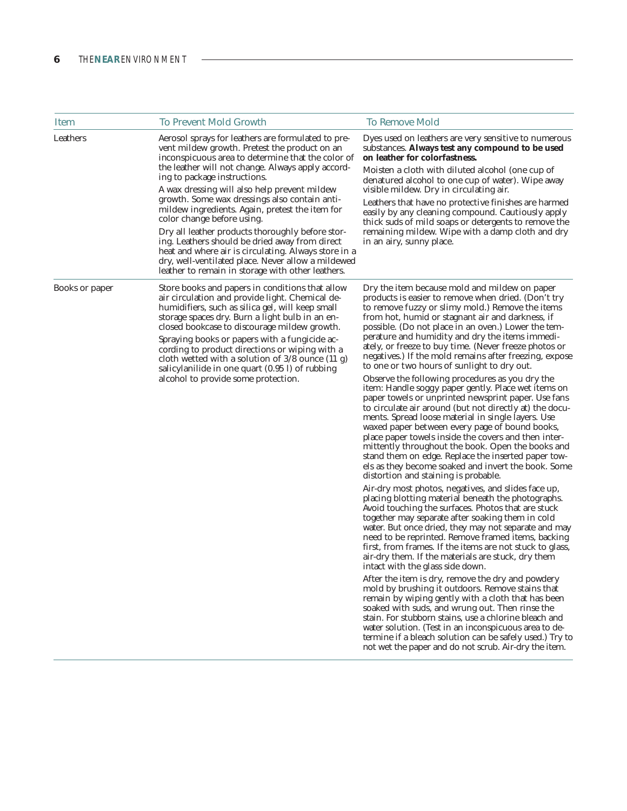| <b>Item</b>    | <b>To Prevent Mold Growth</b>                                                                                                                                                                                                                                                                                                                                                                                                                                                                                                                                                                                                                                                                            | <b>To Remove Mold</b>                                                                                                                                                                                                                                                                                                                                                                                                                                                                                                                                                                                                                                                                                                                                                                                                                                                                                                                                                                                                                                                                                                                                                                                                                                                                                                                                                                                                                                                                                                                                                                                                                                                                                                                                                                                                                                                                                                                                                                                                                               |
|----------------|----------------------------------------------------------------------------------------------------------------------------------------------------------------------------------------------------------------------------------------------------------------------------------------------------------------------------------------------------------------------------------------------------------------------------------------------------------------------------------------------------------------------------------------------------------------------------------------------------------------------------------------------------------------------------------------------------------|-----------------------------------------------------------------------------------------------------------------------------------------------------------------------------------------------------------------------------------------------------------------------------------------------------------------------------------------------------------------------------------------------------------------------------------------------------------------------------------------------------------------------------------------------------------------------------------------------------------------------------------------------------------------------------------------------------------------------------------------------------------------------------------------------------------------------------------------------------------------------------------------------------------------------------------------------------------------------------------------------------------------------------------------------------------------------------------------------------------------------------------------------------------------------------------------------------------------------------------------------------------------------------------------------------------------------------------------------------------------------------------------------------------------------------------------------------------------------------------------------------------------------------------------------------------------------------------------------------------------------------------------------------------------------------------------------------------------------------------------------------------------------------------------------------------------------------------------------------------------------------------------------------------------------------------------------------------------------------------------------------------------------------------------------------|
| Leathers       | Aerosol sprays for leathers are formulated to pre-<br>vent mildew growth. Pretest the product on an<br>inconspicuous area to determine that the color of<br>the leather will not change. Always apply accord-<br>ing to package instructions.<br>A wax dressing will also help prevent mildew<br>growth. Some wax dressings also contain anti-<br>mildew ingredients. Again, pretest the item for<br>color change before using.<br>Dry all leather products thoroughly before stor-<br>ing. Leathers should be dried away from direct<br>heat and where air is circulating. Always store in a<br>dry, well-ventilated place. Never allow a mildewed<br>leather to remain in storage with other leathers. | Dyes used on leathers are very sensitive to numerous<br>substances. Always test any compound to be used<br>on leather for colorfastness.<br>Moisten a cloth with diluted alcohol (one cup of<br>denatured alcohol to one cup of water). Wipe away<br>visible mildew. Dry in circulating air.<br>Leathers that have no protective finishes are harmed<br>easily by any cleaning compound. Cautiously apply<br>thick suds of mild soaps or detergents to remove the<br>remaining mildew. Wipe with a damp cloth and dry<br>in an airy, sunny place.                                                                                                                                                                                                                                                                                                                                                                                                                                                                                                                                                                                                                                                                                                                                                                                                                                                                                                                                                                                                                                                                                                                                                                                                                                                                                                                                                                                                                                                                                                   |
| Books or paper | Store books and papers in conditions that allow<br>air circulation and provide light. Chemical de-<br>humidifiers, such as silica gel, will keep small<br>storage spaces dry. Burn a light bulb in an en-<br>closed bookcase to discourage mildew growth.<br>Spraying books or papers with a fungicide ac-<br>cording to product directions or wiping with a<br>cloth wetted with a solution of $3/8$ ounce $(11 g)$<br>salicylanilide in one quart (0.95 l) of rubbing<br>alcohol to provide some protection.                                                                                                                                                                                           | Dry the item because mold and mildew on paper<br>products is easier to remove when dried. (Don't try<br>to remove fuzzy or slimy mold.) Remove the items<br>from hot, humid or stagnant air and darkness, if<br>possible. (Do not place in an oven.) Lower the tem-<br>perature and humidity and dry the items immedi-<br>ately, or freeze to buy time. (Never freeze photos or<br>negatives.) If the mold remains after freezing, expose<br>to one or two hours of sunlight to dry out.<br>Observe the following procedures as you dry the<br>item: Handle soggy paper gently. Place wet items on<br>paper towels or unprinted newsprint paper. Use fans<br>to circulate air around (but not directly at) the docu-<br>ments. Spread loose material in single layers. Use<br>waxed paper between every page of bound books,<br>place paper towels inside the covers and then inter-<br>mittently throughout the book. Open the books and<br>stand them on edge. Replace the inserted paper tow-<br>els as they become soaked and invert the book. Some<br>distortion and staining is probable.<br>Air-dry most photos, negatives, and slides face up,<br>placing blotting material beneath the photographs.<br>Avoid touching the surfaces. Photos that are stuck<br>together may separate after soaking them in cold<br>water. But once dried, they may not separate and may<br>need to be reprinted. Remove framed items, backing<br>first, from frames. If the items are not stuck to glass,<br>air-dry them. If the materials are stuck, dry them<br>intact with the glass side down.<br>After the item is dry, remove the dry and powdery<br>mold by brushing it outdoors. Remove stains that<br>remain by wiping gently with a cloth that has been<br>soaked with suds, and wrung out. Then rinse the<br>stain. For stubborn stains, use a chlorine bleach and<br>water solution. (Test in an inconspicuous area to de-<br>termine if a bleach solution can be safely used.) Try to<br>not wet the paper and do not scrub. Air-dry the item. |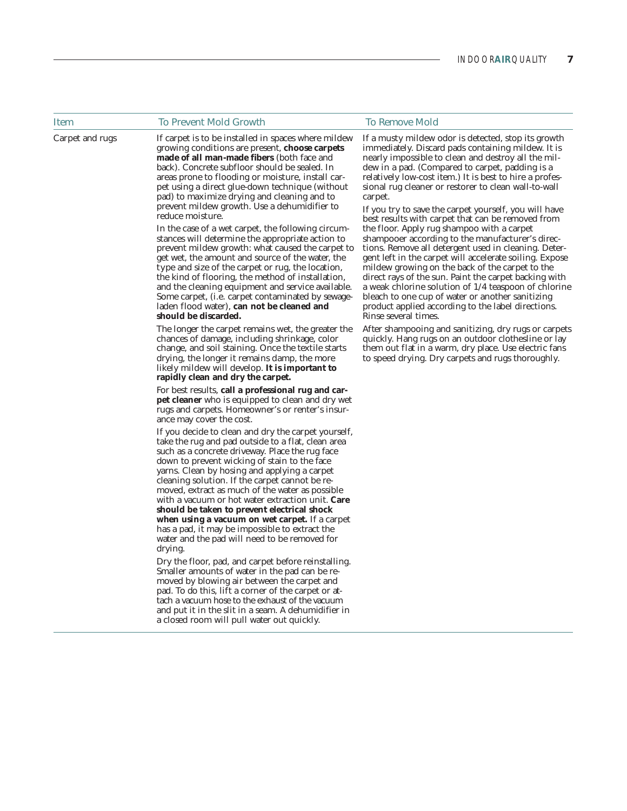| <b>Item</b>     | <b>To Prevent Mold Growth</b>                                                                                                                                                                                                                                                                                                                                                                                                                                                                                                                                                                                                                                                                                                                                                                                                                                                                                                               | <b>To Remove Mold</b>                                                                                                                                                                                                                                                                                                                                                                                                                                                                                                                                                                                                                                                                                                                                                                                                                                                                                                                                                                      |
|-----------------|---------------------------------------------------------------------------------------------------------------------------------------------------------------------------------------------------------------------------------------------------------------------------------------------------------------------------------------------------------------------------------------------------------------------------------------------------------------------------------------------------------------------------------------------------------------------------------------------------------------------------------------------------------------------------------------------------------------------------------------------------------------------------------------------------------------------------------------------------------------------------------------------------------------------------------------------|--------------------------------------------------------------------------------------------------------------------------------------------------------------------------------------------------------------------------------------------------------------------------------------------------------------------------------------------------------------------------------------------------------------------------------------------------------------------------------------------------------------------------------------------------------------------------------------------------------------------------------------------------------------------------------------------------------------------------------------------------------------------------------------------------------------------------------------------------------------------------------------------------------------------------------------------------------------------------------------------|
| Carpet and rugs | If carpet is to be installed in spaces where mildew<br>growing conditions are present, choose carpets<br>made of all man-made fibers (both face and<br>back). Concrete subfloor should be sealed. In<br>areas prone to flooding or moisture, install car-<br>pet using a direct glue-down technique (without<br>pad) to maximize drying and cleaning and to<br>prevent mildew growth. Use a dehumidifier to<br>reduce moisture.<br>In the case of a wet carpet, the following circum-<br>stances will determine the appropriate action to<br>prevent mildew growth: what caused the carpet to<br>get wet, the amount and source of the water, the<br>type and size of the carpet or rug, the location,<br>the kind of flooring, the method of installation,<br>and the cleaning equipment and service available.<br>Some carpet, (i.e. carpet contaminated by sewage-<br>laden flood water), can not be cleaned and<br>should be discarded. | If a musty mildew odor is detected, stop its growth<br>immediately. Discard pads containing mildew. It is<br>nearly impossible to clean and destroy all the mil-<br>dew in a pad. (Compared to carpet, padding is a<br>relatively low-cost item.) It is best to hire a profes-<br>sional rug cleaner or restorer to clean wall-to-wall<br>carpet.<br>If you try to save the carpet yourself, you will have<br>best results with carpet that can be removed from<br>the floor. Apply rug shampoo with a carpet<br>shampooer according to the manufacturer's direc-<br>tions. Remove all detergent used in cleaning. Deter-<br>gent left in the carpet will accelerate soiling. Expose<br>mildew growing on the back of the carpet to the<br>direct rays of the sun. Paint the carpet backing with<br>a weak chlorine solution of 1/4 teaspoon of chlorine<br>bleach to one cup of water or another sanitizing<br>product applied according to the label directions.<br>Rinse several times. |
|                 | The longer the carpet remains wet, the greater the<br>chances of damage, including shrinkage, color<br>change, and soil staining. Once the textile starts<br>drying, the longer it remains damp, the more<br>likely mildew will develop. It is important to<br>rapidly clean and dry the carpet.<br>For best results, call a professional rug and car-                                                                                                                                                                                                                                                                                                                                                                                                                                                                                                                                                                                      | After shampooing and sanitizing, dry rugs or carpets<br>quickly. Hang rugs on an outdoor clothesline or lay<br>them out flat in a warm, dry place. Use electric fans<br>to speed drying. Dry carpets and rugs thoroughly.                                                                                                                                                                                                                                                                                                                                                                                                                                                                                                                                                                                                                                                                                                                                                                  |
|                 | <b>pet cleaner</b> who is equipped to clean and dry wet<br>rugs and carpets. Homeowner's or renter's insur-<br>ance may cover the cost.                                                                                                                                                                                                                                                                                                                                                                                                                                                                                                                                                                                                                                                                                                                                                                                                     |                                                                                                                                                                                                                                                                                                                                                                                                                                                                                                                                                                                                                                                                                                                                                                                                                                                                                                                                                                                            |
|                 | If you decide to clean and dry the carpet yourself,<br>take the rug and pad outside to a flat, clean area<br>such as a concrete driveway. Place the rug face<br>down to prevent wicking of stain to the face<br>yarns. Clean by hosing and applying a carpet<br>cleaning solution. If the carpet cannot be re-<br>moved, extract as much of the water as possible<br>with a vacuum or hot water extraction unit. Care<br>should be taken to prevent electrical shock<br>when using a vacuum on wet carpet. If a carpet<br>has a pad, it may be impossible to extract the<br>water and the pad will need to be removed for<br>drying.                                                                                                                                                                                                                                                                                                        |                                                                                                                                                                                                                                                                                                                                                                                                                                                                                                                                                                                                                                                                                                                                                                                                                                                                                                                                                                                            |
|                 | Dry the floor, pad, and carpet before reinstalling.<br>Smaller amounts of water in the pad can be re-<br>moved by blowing air between the carpet and<br>pad. To do this, lift a corner of the carpet or at-<br>tach a vacuum hose to the exhaust of the vacuum<br>and put it in the slit in a seam. A dehumidifier in<br>a closed room will pull water out quickly.                                                                                                                                                                                                                                                                                                                                                                                                                                                                                                                                                                         |                                                                                                                                                                                                                                                                                                                                                                                                                                                                                                                                                                                                                                                                                                                                                                                                                                                                                                                                                                                            |